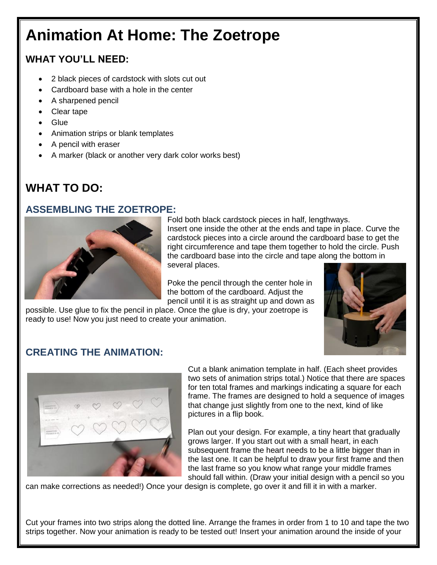# **Animation At Home: The Zoetrope**

## **WHAT YOU'LL NEED:**

- 2 black pieces of cardstock with slots cut out
- Cardboard base with a hole in the center
- A sharpened pencil
- Clear tape
- Glue
- Animation strips or blank templates
- A pencil with eraser
- A marker (black or another very dark color works best)

# **WHAT TO DO:**

#### **ASSEMBLING THE ZOETROPE:**



Fold both black cardstock pieces in half, lengthways. Insert one inside the other at the ends and tape in place. Curve the cardstock pieces into a circle around the cardboard base to get the right circumference and tape them together to hold the circle. Push the cardboard base into the circle and tape along the bottom in several places.

Poke the pencil through the center hole in the bottom of the cardboard. Adjust the pencil until it is as straight up and down as

possible. Use glue to fix the pencil in place. Once the glue is dry, your zoetrope is ready to use! Now you just need to create your animation.



### **CREATING THE ANIMATION:**



Cut a blank animation template in half. (Each sheet provides two sets of animation strips total.) Notice that there are spaces for ten total frames and markings indicating a square for each frame. The frames are designed to hold a sequence of images that change just slightly from one to the next, kind of like pictures in a flip book.

Plan out your design. For example, a tiny heart that gradually grows larger. If you start out with a small heart, in each subsequent frame the heart needs to be a little bigger than in the last one. It can be helpful to draw your first frame and then the last frame so you know what range your middle frames should fall within. (Draw your initial design with a pencil so you

can make corrections as needed!) Once your design is complete, go over it and fill it in with a marker.

Cut your frames into two strips along the dotted line. Arrange the frames in order from 1 to 10 and tape the two strips together. Now your animation is ready to be tested out! Insert your animation around the inside of your